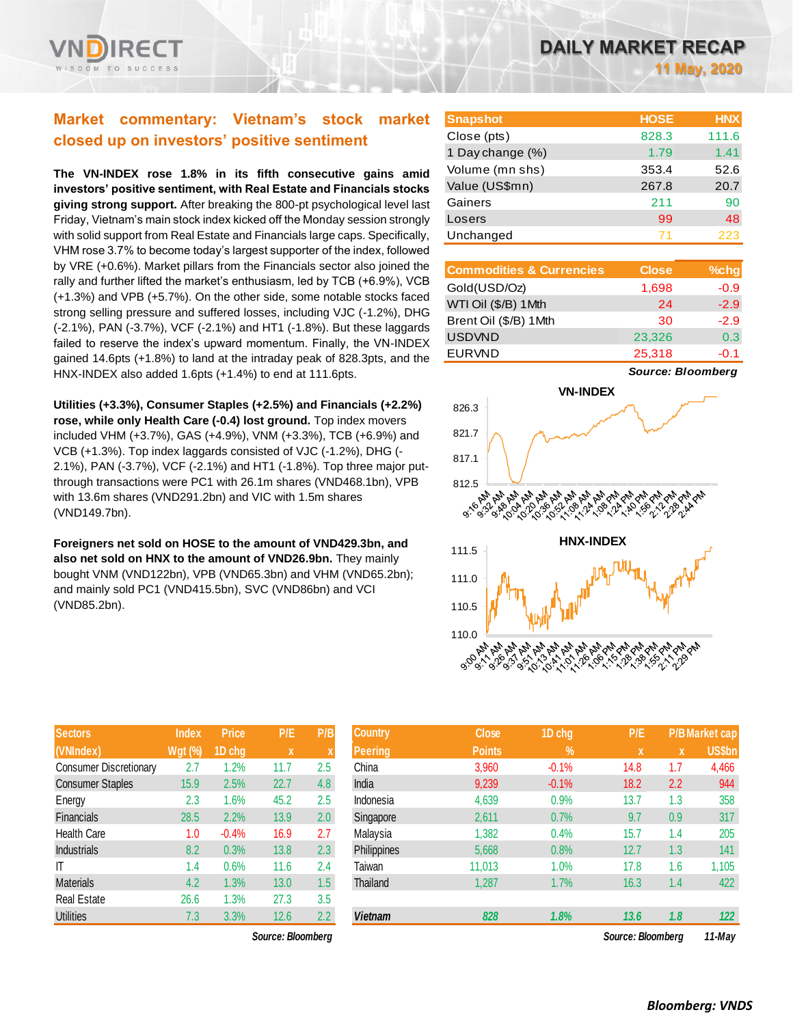

# **Market commentary: Vietnam's stock market closed up on investors' positive sentiment**

**The VN-INDEX rose 1.8% in its fifth consecutive gains amid investors' positive sentiment, with Real Estate and Financials stocks giving strong support.** After breaking the 800-pt psychological level last Friday, Vietnam's main stock index kicked off the Monday session strongly with solid support from Real Estate and Financials large caps. Specifically, VHM rose 3.7% to become today's largest supporter of the index, followed by VRE (+0.6%). Market pillars from the Financials sector also joined the rally and further lifted the market's enthusiasm, led by TCB (+6.9%), VCB (+1.3%) and VPB (+5.7%). On the other side, some notable stocks faced strong selling pressure and suffered losses, including VJC (-1.2%), DHG (-2.1%), PAN (-3.7%), VCF (-2.1%) and HT1 (-1.8%). But these laggards failed to reserve the index's upward momentum. Finally, the VN-INDEX gained 14.6pts (+1.8%) to land at the intraday peak of 828.3pts, and the HNX-INDEX also added 1.6pts (+1.4%) to end at 111.6pts.

**Utilities (+3.3%), Consumer Staples (+2.5%) and Financials (+2.2%) rose, while only Health Care (-0.4) lost ground.** Top index movers included VHM (+3.7%), GAS (+4.9%), VNM (+3.3%), TCB (+6.9%) and VCB (+1.3%). Top index laggards consisted of VJC (-1.2%), DHG (- 2.1%), PAN (-3.7%), VCF (-2.1%) and HT1 (-1.8%). Top three major putthrough transactions were PC1 with 26.1m shares (VND468.1bn), VPB with 13.6m shares (VND291.2bn) and VIC with 1.5m shares (VND149.7bn).

**Foreigners net sold on HOSE to the amount of VND429.3bn, and also net sold on HNX to the amount of VND26.9bn.** They mainly bought VNM (VND122bn), VPB (VND65.3bn) and VHM (VND65.2bn); and mainly sold PC1 (VND415.5bn), SVC (VND86bn) and VCI (VND85.2bn).

| <b>Sectors</b>                | <b>Index</b>   | <b>Price</b> | P/E         | P/B |
|-------------------------------|----------------|--------------|-------------|-----|
| (VNIndex)                     | <b>Wgt (%)</b> | 1D chg       | $\mathbf x$ | X   |
| <b>Consumer Discretionary</b> | 2.7            | 1.2%         | 11.7        | 2.5 |
| <b>Consumer Staples</b>       | 15.9           | 2.5%         | 22.7        | 4.8 |
| Energy                        | 2.3            | 1.6%         | 45.2        | 2.5 |
| <b>Financials</b>             | 28.5           | 2.2%         | 13.9        | 2.0 |
| <b>Health Care</b>            | 1.0            | $-0.4%$      | 16.9        | 2.7 |
| <b>Industrials</b>            | 8.2            | 0.3%         | 13.8        | 2.3 |
| IT                            | 1.4            | 0.6%         | 11.6        | 2.4 |
| <b>Materials</b>              | 4.2            | 1.3%         | 13.0        | 1.5 |
| <b>Real Estate</b>            | 26.6           | 1.3%         | 27.3        | 3.5 |
| <b>Utilities</b>              | 7.3            | 3.3%         | 12.6        | 2.2 |

*Source: Bloomberg Source: Bloomberg 11-May*

| <b>Snapshot</b>  | <b>HOSE</b> | <b>HNX</b> |
|------------------|-------------|------------|
| Close (pts)      | 828.3       | 111.6      |
| 1 Day change (%) | 1.79        | 1.41       |
| Volume (mn shs)  | 353.4       | 52.6       |
| Value (US\$mn)   | 267.8       | 20.7       |
| Gainers          | 211         | 90         |
| Losers           | 99          | 48         |
| Unchanged        |             | 223        |

| <b>Commodities &amp; Currencies</b> | <b>Close</b> | $%$ chg |
|-------------------------------------|--------------|---------|
| Gold(USD/Oz)                        | 1,698        | $-0.9$  |
| WTI Oil (\$/B) 1Mth                 | 24           | $-2.9$  |
| Brent Oil (\$/B) 1Mth               | 30           | $-2.9$  |
| <b>USDVND</b>                       | 23,326       | 0.3     |
| <b>EURVND</b>                       | 25,318       | $-0.1$  |

*Source: Bloomberg*



| <b>Sectors</b>                | Index          | <b>Price</b> | P/E         | P/B           | <b>Country</b> | <b>Close</b>  | 1D chg        | P/E               |     | <b>P/B Market cap</b> |
|-------------------------------|----------------|--------------|-------------|---------------|----------------|---------------|---------------|-------------------|-----|-----------------------|
| (VNIndex)                     | <b>Wgt (%)</b> | 1D chg       | $\mathbf x$ |               | <b>Peering</b> | <b>Points</b> | $\frac{9}{6}$ | $\mathbf{x}$      | x   | <b>US\$bn</b>         |
| <b>Consumer Discretionary</b> | 2.7            | .2%          | 11.7        | 2.5           | China          | 3,960         | $-0.1%$       | 14.8              | 1.7 | 4,466                 |
| <b>Consumer Staples</b>       | 15.9           | 2.5%         | 22.7        | 4.8           | India          | 9,239         | $-0.1%$       | 18.2              | 2.2 | 944                   |
| Energy                        | 2.3            | 1.6%         | 45.2        | 2.5           | Indonesia      | 4,639         | 0.9%          | 13.7              | 1.3 | 358                   |
| Financials                    | 28.5           | 2.2%         | 13.9        | 2.0           | Singapore      | 2,611         | 0.7%          | 9.7               | 0.9 | 317                   |
| Health Care                   | 1.0            | $-0.4%$      | 16.9        | 2.7           | Malaysia       | 1,382         | 0.4%          | 15.7              | 1.4 | 205                   |
| <b>Industrials</b>            | 8.2            | 0.3%         | 13.8        | 2.3           | Philippines    | 5,668         | 0.8%          | 12.7              | 1.3 | 141                   |
| ΙT                            | 1.4            | 0.6%         | 11.6        | 2.4           | Taiwan         | 11.013        | 1.0%          | 17.8              | 1.6 | 1,105                 |
| Materials                     | 4.2            | 1.3%         | 13.0        | 1.5           | Thailand       | 1,287         | 1.7%          | 16.3              | 1.4 | 422                   |
| Real Estate                   | 26.6           | 1.3%         | 27.3        | 3.5           |                |               |               |                   |     |                       |
| <b>Utilities</b>              | 7.3            | 3.3%         | 12.6        | $2.2^{\circ}$ | <b>Vietnam</b> | 828           | 1.8%          | 13.6              | 1.8 | 122                   |
| Source: Bloomberg             |                |              |             |               |                |               |               | Source: Bloomberg |     | 11-May                |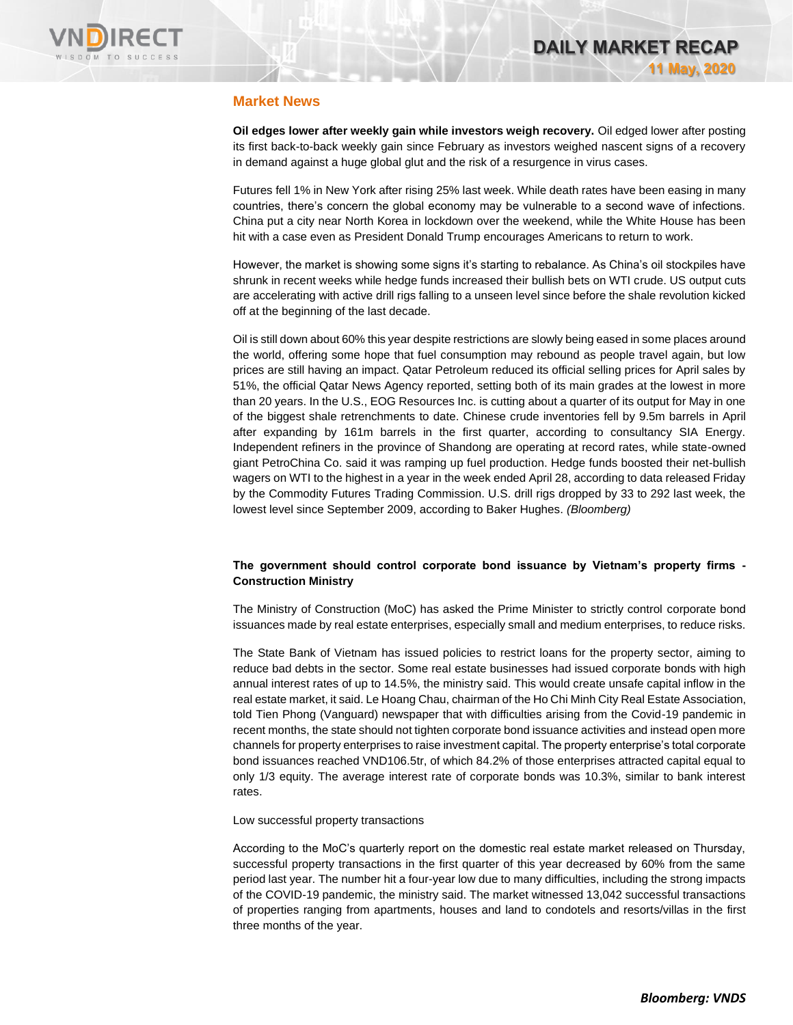

# **Market News**

**Oil edges lower after weekly gain while investors weigh recovery.** Oil edged lower after posting its first back-to-back weekly gain since February as investors weighed nascent signs of a recovery in demand against a huge global glut and the risk of a resurgence in virus cases.

Futures fell 1% in New York after rising 25% last week. While death rates have been easing in many countries, there's concern the global economy may be vulnerable to a second wave of infections. China put a city near North Korea in lockdown over the weekend, while the White House has been hit with a case even as President Donald Trump encourages Americans to return to work.

However, the market is showing some signs it's starting to rebalance. As China's oil stockpiles have shrunk in recent weeks while hedge funds increased their bullish bets on WTI crude. US output cuts are accelerating with active drill rigs falling to a unseen level since before the shale revolution kicked off at the beginning of the last decade.

Oil is still down about 60% this year despite restrictions are slowly being eased in some places around the world, offering some hope that fuel consumption may rebound as people travel again, but low prices are still having an impact. Qatar Petroleum reduced its official selling prices for April sales by 51%, the official Qatar News Agency reported, setting both of its main grades at the lowest in more than 20 years. In the U.S., EOG Resources Inc. is cutting about a quarter of its output for May in one of the biggest shale retrenchments to date. Chinese crude inventories fell by 9.5m barrels in April after expanding by 161m barrels in the first quarter, according to consultancy SIA Energy. Independent refiners in the province of Shandong are operating at record rates, while state-owned giant PetroChina Co. said it was ramping up fuel production. Hedge funds boosted their net-bullish wagers on WTI to the highest in a year in the week ended April 28, according to data released Friday by the Commodity Futures Trading Commission. U.S. drill rigs dropped by 33 to 292 last week, the lowest level since September 2009, according to Baker Hughes. *(Bloomberg)*

### **The government should control corporate bond issuance by Vietnam's property firms - Construction Ministry**

The Ministry of Construction (MoC) has asked the Prime Minister to strictly control corporate bond issuances made by real estate enterprises, especially small and medium enterprises, to reduce risks.

The State Bank of Vietnam has issued policies to restrict loans for the property sector, aiming to reduce bad debts in the sector. Some real estate businesses had issued corporate bonds with high annual interest rates of up to 14.5%, the ministry said. This would create unsafe capital inflow in the real estate market, it said. Le Hoang Chau, chairman of the Ho Chi Minh City Real Estate Association, told Tien Phong (Vanguard) newspaper that with difficulties arising from the Covid-19 pandemic in recent months, the state should not tighten corporate bond issuance activities and instead open more channels for property enterprises to raise investment capital. The property enterprise's total corporate bond issuances reached VND106.5tr, of which 84.2% of those enterprises attracted capital equal to only 1/3 equity. The average interest rate of corporate bonds was 10.3%, similar to bank interest rates.

Low successful property transactions

According to the MoC's quarterly report on the domestic real estate market released on Thursday, successful property transactions in the first quarter of this year decreased by 60% from the same period last year. The number hit a four-year low due to many difficulties, including the strong impacts of the COVID-19 pandemic, the ministry said. The market witnessed 13,042 successful transactions of properties ranging from apartments, houses and land to condotels and resorts/villas in the first three months of the year.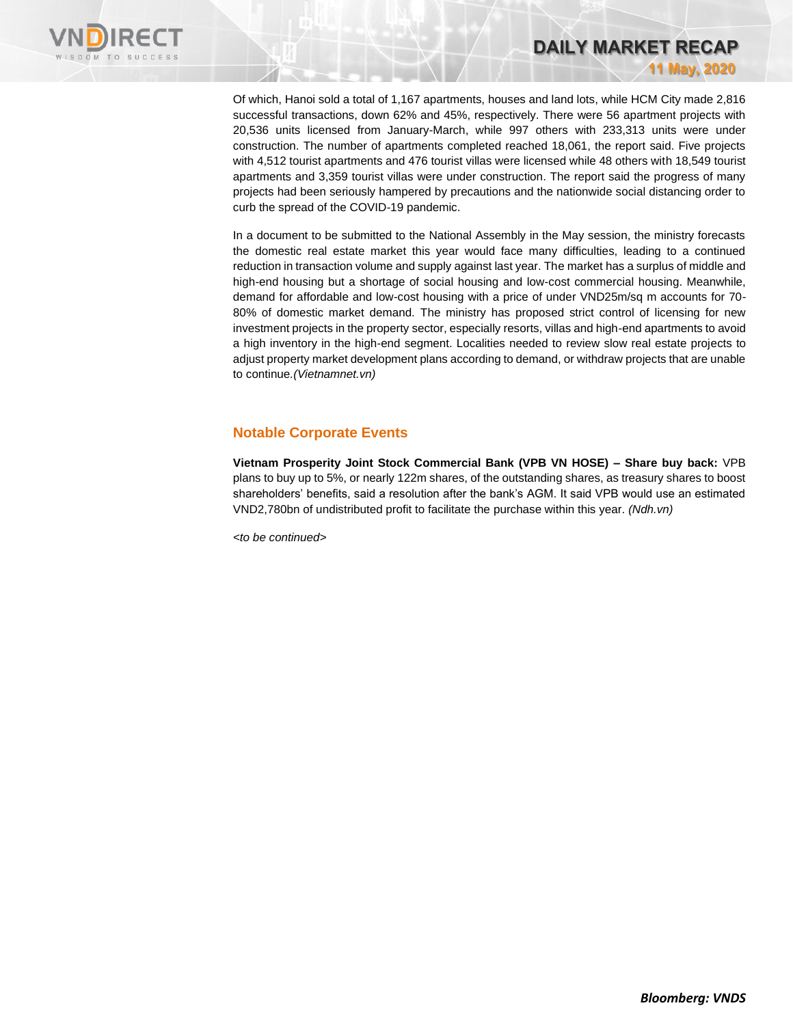

Of which, Hanoi sold a total of 1,167 apartments, houses and land lots, while HCM City made 2,816 successful transactions, down 62% and 45%, respectively. There were 56 apartment projects with 20,536 units licensed from January-March, while 997 others with 233,313 units were under construction. The number of apartments completed reached 18,061, the report said. Five projects with 4,512 tourist apartments and 476 tourist villas were licensed while 48 others with 18,549 tourist apartments and 3,359 tourist villas were under construction. The report said the progress of many projects had been seriously hampered by precautions and the nationwide social distancing order to curb the spread of the COVID-19 pandemic.

**DAILY MARKET RECAP** 

**11 May, 2020**

In a document to be submitted to the National Assembly in the May session, the ministry forecasts the domestic real estate market this year would face many difficulties, leading to a continued reduction in transaction volume and supply against last year. The market has a surplus of middle and high-end housing but a shortage of social housing and low-cost commercial housing. Meanwhile, demand for affordable and low-cost housing with a price of under VND25m/sq m accounts for 70- 80% of domestic market demand. The ministry has proposed strict control of licensing for new investment projects in the property sector, especially resorts, villas and high-end apartments to avoid a high inventory in the high-end segment. Localities needed to review slow real estate projects to adjust property market development plans according to demand, or withdraw projects that are unable to continue*.(Vietnamnet.vn)*

# **Notable Corporate Events**

**Vietnam Prosperity Joint Stock Commercial Bank (VPB VN HOSE) – Share buy back:** VPB plans to buy up to 5%, or nearly 122m shares, of the outstanding shares, as treasury shares to boost shareholders' benefits, said a resolution after the bank's AGM. It said VPB would use an estimated VND2,780bn of undistributed profit to facilitate the purchase within this year. *(Ndh.vn)*

*<to be continued>*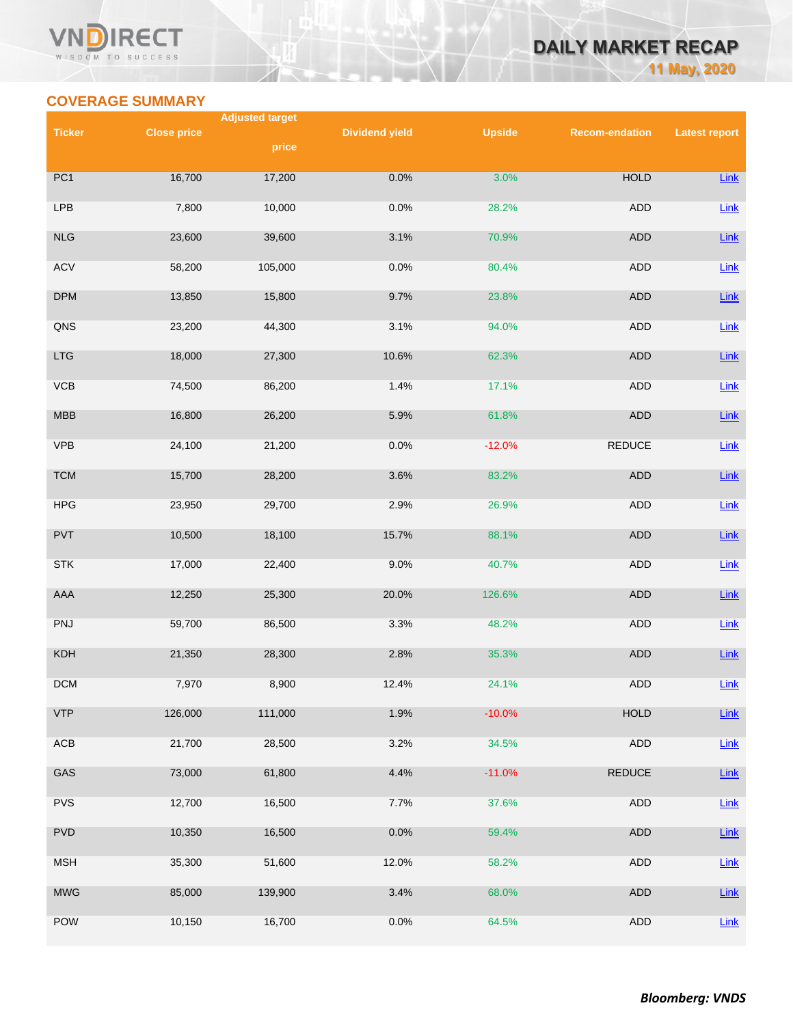# **COVERAGE SUMMARY**

WISDOM TO SUCCESS

|                  |                    | <b>Adjusted target</b> |                       |               |                       |                      |  |
|------------------|--------------------|------------------------|-----------------------|---------------|-----------------------|----------------------|--|
| <b>Ticker</b>    | <b>Close price</b> | price                  | <b>Dividend yield</b> | <b>Upside</b> | <b>Recom-endation</b> | <b>Latest report</b> |  |
|                  |                    |                        |                       |               |                       |                      |  |
| $\overline{PC1}$ | 16,700             | 17,200                 | 0.0%                  | 3.0%          | <b>HOLD</b>           | <b>Link</b>          |  |
| LPB              | 7,800              | 10,000                 | 0.0%                  | 28.2%         | ADD                   | Link                 |  |
| <b>NLG</b>       | 23,600             | 39,600                 | 3.1%                  | 70.9%         | ADD                   | <b>Link</b>          |  |
| <b>ACV</b>       | 58,200             | 105,000                | 0.0%                  | 80.4%         | <b>ADD</b>            | Link                 |  |
| <b>DPM</b>       | 13,850             | 15,800                 | 9.7%                  | 23.8%         | <b>ADD</b>            | Link                 |  |
| QNS              | 23,200             | 44,300                 | 3.1%                  | 94.0%         | ADD                   | <b>Link</b>          |  |
| LTG              | 18,000             | 27,300                 | 10.6%                 | 62.3%         | <b>ADD</b>            | Link                 |  |
| VCB              | 74,500             | 86,200                 | 1.4%                  | 17.1%         | ADD                   | Link                 |  |
| <b>MBB</b>       | 16,800             | 26,200                 | 5.9%                  | 61.8%         | <b>ADD</b>            | Link                 |  |
| VPB              | 24,100             | 21,200                 | 0.0%                  | $-12.0%$      | <b>REDUCE</b>         | Link                 |  |
| <b>TCM</b>       | 15,700             | 28,200                 | 3.6%                  | 83.2%         | <b>ADD</b>            | Link                 |  |
| HPG              | 23,950             | 29,700                 | 2.9%                  | 26.9%         | ADD                   | Link                 |  |
| PVT              | 10,500             | 18,100                 | 15.7%                 | 88.1%         | <b>ADD</b>            | Link                 |  |
| <b>STK</b>       | 17,000             | 22,400                 | 9.0%                  | 40.7%         | ADD                   | Link                 |  |
| AAA              | 12,250             | 25,300                 | 20.0%                 | 126.6%        | <b>ADD</b>            | <b>Link</b>          |  |
| PNJ              | 59,700             | 86,500                 | 3.3%                  | 48.2%         | <b>ADD</b>            | Link                 |  |
| KDH              | 21,350             | 28,300                 | 2.8%                  | 35.3%         | <b>ADD</b>            | <b>Link</b>          |  |
| <b>DCM</b>       | 7,970              | 8,900                  | 12.4%                 | 24.1%         | ADD                   | <b>Link</b>          |  |
| <b>VTP</b>       | 126,000            | 111,000                | 1.9%                  | $-10.0%$      | <b>HOLD</b>           | <b>Link</b>          |  |
| ACB              | 21,700             | 28,500                 | 3.2%                  | 34.5%         | ADD                   | Link                 |  |
| GAS              | 73,000             | 61,800                 | 4.4%                  | $-11.0%$      | <b>REDUCE</b>         | $Link$               |  |
| <b>PVS</b>       | 12,700             | 16,500                 | 7.7%                  | 37.6%         | <b>ADD</b>            | Link                 |  |
| <b>PVD</b>       | 10,350             | 16,500                 | 0.0%                  | 59.4%         | ADD                   | Link                 |  |
| <b>MSH</b>       | 35,300             | 51,600                 | 12.0%                 | 58.2%         | ADD                   | Link                 |  |

MWG 85,000 139,900 3.4% 68.0% ADD <u>[Link](https://nhanha-public-api.vndirect.com.vn/click/OGE0ODlmZDA3MDFjZjM0OTAxNzAxZWQ4OTRkZjAwMDk=/ZGY5ZGNiYmI2MDI5NDE3Mzk3ZWYxZTZmNmY2NzA0NmU=/df9dcbbb6029417397ef1e6f6f67046e-MWG_Update_20200408.pdf/cmVzZWFyY2hAdm5kaXJlY3QuY29tLnZu/MTY5ODk=)</u>

POW 10,150 16,700 0.0% 64.5% ADD <u>[Link](https://apc01.safelinks.protection.outlook.com/?url=https%3A%2F%2Fnhanha-public-api.vndirect.com.vn%2Fclick%2FOGE0ODlmZDA2ODYwMjZlMjAxNjg5OGJlM2IzNDMxODU%3D%2FOTQ5OGE1OTkzZjUyNDBkNGJkZTcxYjU3NjZkOTE5MWY%3D%2F9498a5993f5240d4bde71b5766d9191f-POW_Update_20200212.pdf%2FcmVzZWFyY2hAdm5kaXJlY3QuY29tLnZu%2FMTUxNjU%3D&data=01%7C01%7Ctrung.phanthanh%40vndirect.com.vn%7C205f082a94f04769bfa408d7b0392c37%7C205877dd7b5242a0869607cbd63de0f4%7C0&sdata=FNRlZI3ahXcvVQlCq16dTwSMVlGQoiXZg4hISoQAviY%3D&reserved=0)</u>

**DAILY MARKET RECAP** 

**11 May, 2020**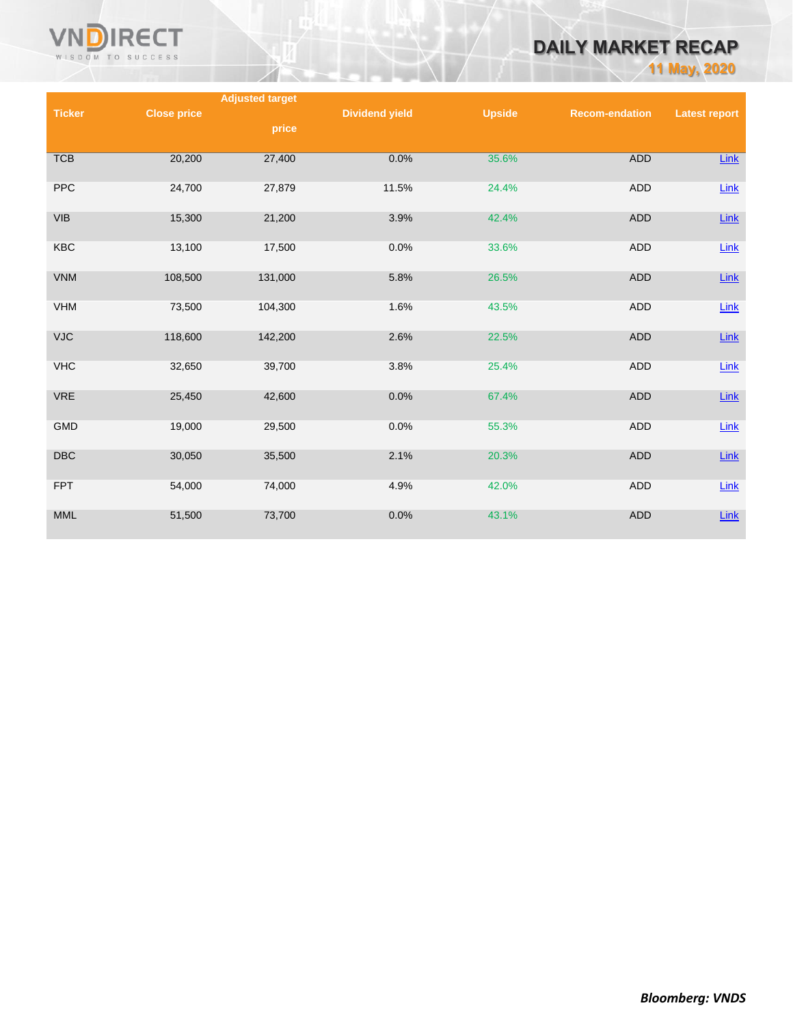

# **DAILY MARKET RECAP**

**11 May, 2020**

|                                             |                    | <b>Adjusted target</b> |                       |               |                       |                      |
|---------------------------------------------|--------------------|------------------------|-----------------------|---------------|-----------------------|----------------------|
| <b>Ticker</b>                               | <b>Close price</b> |                        | <b>Dividend yield</b> | <b>Upside</b> | <b>Recom-endation</b> | <b>Latest report</b> |
|                                             |                    | price                  |                       |               |                       |                      |
| <b>TCB</b>                                  | 20,200             | 27,400                 | 0.0%                  | 35.6%         | <b>ADD</b>            | Link                 |
| <b>PPC</b>                                  | 24,700             | 27,879                 | 11.5%                 | 24.4%         | <b>ADD</b>            | Link                 |
| $\ensuremath{\mathsf{V}}\xspace\textsf{IB}$ | 15,300             | 21,200                 | 3.9%                  | 42.4%         | <b>ADD</b>            | $Link$               |
| <b>KBC</b>                                  | 13,100             | 17,500                 | 0.0%                  | 33.6%         | ADD                   | Link                 |
| <b>VNM</b>                                  | 108,500            | 131,000                | 5.8%                  | 26.5%         | <b>ADD</b>            | $Link$               |
| <b>VHM</b>                                  | 73,500             | 104,300                | 1.6%                  | 43.5%         | ADD                   | Link                 |
| <b>VJC</b>                                  | 118,600            | 142,200                | 2.6%                  | 22.5%         | <b>ADD</b>            | $Link$               |
| <b>VHC</b>                                  | 32,650             | 39,700                 | 3.8%                  | 25.4%         | <b>ADD</b>            | Link                 |
| <b>VRE</b>                                  | 25,450             | 42,600                 | 0.0%                  | 67.4%         | <b>ADD</b>            | $Link$               |
| <b>GMD</b>                                  | 19,000             | 29,500                 | 0.0%                  | 55.3%         | ADD                   | Link                 |
| DBC                                         | 30,050             | 35,500                 | 2.1%                  | 20.3%         | <b>ADD</b>            | $Link$               |
| <b>FPT</b>                                  | 54,000             | 74,000                 | 4.9%                  | 42.0%         | <b>ADD</b>            | Link                 |
| $\mathsf{MML}$                              | 51,500             | 73,700                 | 0.0%                  | 43.1%         | <b>ADD</b>            | $Link$               |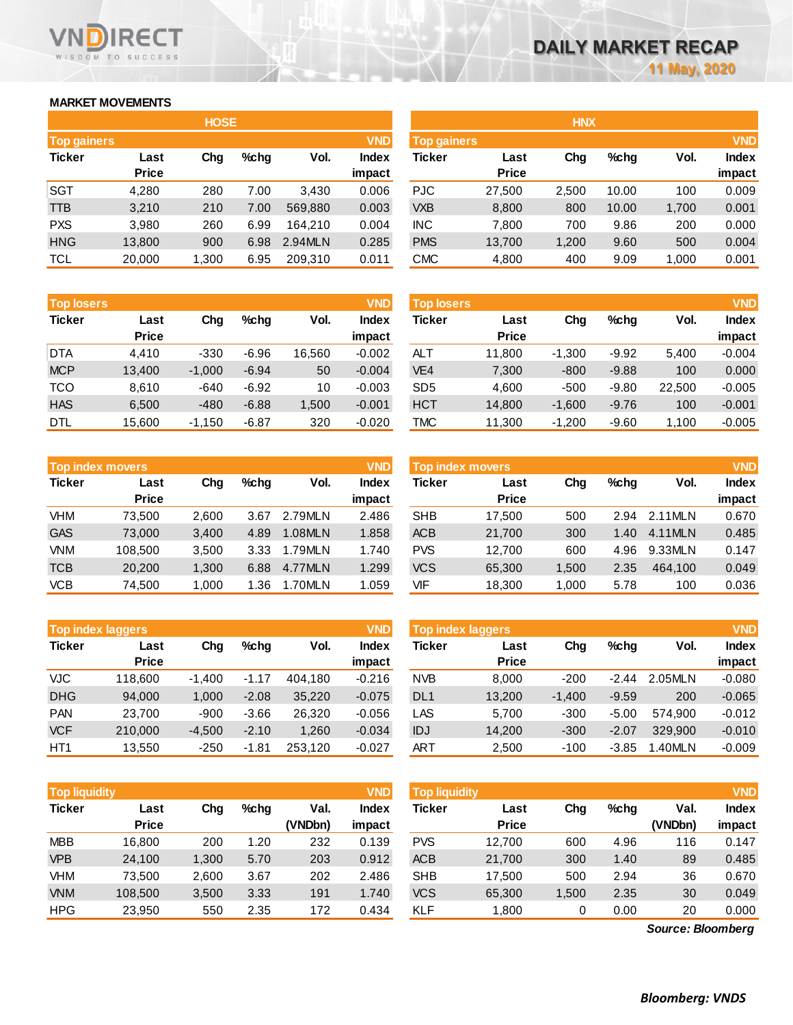# **MARKET MOVEMENTS**

WISDOM TO SUCCESS

**RECT** 

VN n

|                    | <b>HOSE</b>  |       |      |         |              |  |  |  |  |  |  |
|--------------------|--------------|-------|------|---------|--------------|--|--|--|--|--|--|
| <b>Top gainers</b> |              |       |      |         | <b>VND</b>   |  |  |  |  |  |  |
| <b>Ticker</b>      | Last         | Cha   | %chq | Vol.    | <b>Index</b> |  |  |  |  |  |  |
|                    | <b>Price</b> |       |      |         | impact       |  |  |  |  |  |  |
| <b>SGT</b>         | 4,280        | 280   | 7.00 | 3,430   | 0.006        |  |  |  |  |  |  |
| TTB                | 3,210        | 210   | 7.00 | 569,880 | 0.003        |  |  |  |  |  |  |
| <b>PXS</b>         | 3,980        | 260   | 6.99 | 164,210 | 0.004        |  |  |  |  |  |  |
| <b>HNG</b>         | 13,800       | 900   | 6.98 | 2.94MLN | 0.285        |  |  |  |  |  |  |
| <b>TCL</b>         | 20,000       | 1,300 | 6.95 | 209,310 | 0.011        |  |  |  |  |  |  |

| <b>Top losers</b> |                      |          |         |        |                 | <b>VND</b><br><b>Top losers</b> |                      |          |         |        | <b>VND</b>      |
|-------------------|----------------------|----------|---------|--------|-----------------|---------------------------------|----------------------|----------|---------|--------|-----------------|
| <b>Ticker</b>     | Last<br><b>Price</b> | Chg      | $%$ chg | Vol.   | Index<br>impact | Ticker                          | Last<br><b>Price</b> | Chg      | $%$ chg | Vol.   | Index<br>impact |
| <b>DTA</b>        | 4.410                | $-330$   | $-6.96$ | 16.560 | $-0.002$        | ALT                             | 11.800               | $-1.300$ | $-9.92$ | 5,400  | $-0.004$        |
| <b>MCP</b>        | 13,400               | $-1,000$ | $-6.94$ | 50     | $-0.004$        | VE <sub>4</sub>                 | 7,300                | $-800$   | $-9.88$ | 100    | 0.000           |
| TCO               | 8.610                | $-640$   | $-6.92$ | 10     | $-0.003$        | SD <sub>5</sub>                 | 4.600                | $-500$   | $-9.80$ | 22.500 | $-0.005$        |
| <b>HAS</b>        | 6,500                | $-480$   | $-6.88$ | 1,500  | $-0.001$        | <b>HCT</b>                      | 14,800               | $-1.600$ | $-9.76$ | 100    | $-0.001$        |
| <b>DTL</b>        | 15,600               | $-1.150$ | $-6.87$ | 320    | $-0.020$        | <b>TMC</b>                      | 11.300               | $-1.200$ | $-9.60$ | 1.100  | $-0.005$        |

|               | <b>Top index movers</b> |       |      |         | <b>VND</b>   |
|---------------|-------------------------|-------|------|---------|--------------|
| <b>Ticker</b> | Last                    | Cha   |      | Vol.    | <b>Index</b> |
|               | <b>Price</b>            |       |      |         | impact       |
| <b>VHM</b>    | 73,500                  | 2,600 | 3.67 | 2.79MLN | 2.486        |
| <b>GAS</b>    | 73.000                  | 3,400 | 4.89 | 1.08MLN | 1.858        |
| <b>VNM</b>    | 108,500                 | 3,500 | 3.33 | 1.79MLN | 1.740        |
| <b>TCB</b>    | 20,200                  | 1,300 | 6.88 | 4.77MLN | 1.299        |
| <b>VCB</b>    | 74,500                  | 1,000 | 1.36 | 1.70MLN | 1.059        |

|                 | <b>Top index laggers</b> |          |         |         |              |  |  |  |  |  |  |
|-----------------|--------------------------|----------|---------|---------|--------------|--|--|--|--|--|--|
| <b>Ticker</b>   | Last                     | Cha      | %chq    | Vol.    | <b>Index</b> |  |  |  |  |  |  |
|                 | <b>Price</b>             |          |         |         | impact       |  |  |  |  |  |  |
| VJC             | 118,600                  | $-1,400$ | $-1.17$ | 404,180 | $-0.216$     |  |  |  |  |  |  |
| <b>DHG</b>      | 94,000                   | 1,000    | $-2.08$ | 35,220  | $-0.075$     |  |  |  |  |  |  |
| <b>PAN</b>      | 23,700                   | $-900$   | $-3.66$ | 26.320  | $-0.056$     |  |  |  |  |  |  |
| <b>VCF</b>      | 210,000                  | $-4,500$ | $-2.10$ | 1,260   | $-0.034$     |  |  |  |  |  |  |
| HT <sub>1</sub> | 13,550                   | $-250$   | $-1.81$ | 253,120 | $-0.027$     |  |  |  |  |  |  |

|               | <b>Top liquidity</b> |       |      |                 |                 |            | <b>VND</b><br><b>Top liquidity</b> |       |      |                 |                 |
|---------------|----------------------|-------|------|-----------------|-----------------|------------|------------------------------------|-------|------|-----------------|-----------------|
| <b>Ticker</b> | Last<br><b>Price</b> | Chg   | %cha | Val.<br>(VNDbn) | Index<br>impact | Ticker     | Last<br><b>Price</b>               | Chg   | %chq | Val.<br>(VNDbn) | Index<br>impact |
| <b>MBB</b>    | 16.800               | 200   | 1.20 | 232             | 0.139           | <b>PVS</b> | 12.700                             | 600   | 4.96 | 116             | 0.147           |
| <b>VPB</b>    | 24.100               | 1.300 | 5.70 | 203             | 0.912           | <b>ACB</b> | 21,700                             | 300   | 1.40 | 89              | 0.485           |
| VHM           | 73.500               | 2,600 | 3.67 | 202             | 2.486           | <b>SHB</b> | 17.500                             | 500   | 2.94 | 36              | 0.670           |
| <b>VNM</b>    | 108,500              | 3,500 | 3.33 | 191             | 1.740           | <b>VCS</b> | 65,300                             | 1,500 | 2.35 | 30              | 0.049           |
| <b>HPG</b>    | 23.950               | 550   | 2.35 | 172             | 0.434           | KLF        | 1.800                              | 0     | 0.00 | 20              | 0.000           |

|             |              | <b>HOSE</b> |         |         |              | <b>HNX</b>  |              |       |         |       |              |  |  |
|-------------|--------------|-------------|---------|---------|--------------|-------------|--------------|-------|---------|-------|--------------|--|--|
| Top gainers | <b>VND</b>   |             |         |         |              | Top gainers |              |       |         |       | <b>VND</b>   |  |  |
| Ticker      | Last         | Chg         | $%$ chg | Vol.    | <b>Index</b> | Ticker      | Last         | Chg   | $%$ chg | Vol.  | <b>Index</b> |  |  |
|             | <b>Price</b> |             |         |         | impact       |             | <b>Price</b> |       |         |       | impact       |  |  |
| SGT         | 4,280        | 280         | 7.00    | 3.430   | 0.006        | <b>PJC</b>  | 27,500       | 2,500 | 10.00   | 100   | 0.009        |  |  |
| TTB         | 3,210        | 210         | 7.00    | 569,880 | 0.003        | <b>VXB</b>  | 8,800        | 800   | 10.00   | 1,700 | 0.001        |  |  |
| <b>PXS</b>  | 3,980        | 260         | 6.99    | 164.210 | 0.004        | INC.        | 7,800        | 700   | 9.86    | 200   | 0.000        |  |  |
| <b>HNG</b>  | 13,800       | 900         | 6.98    | 2.94MLN | 0.285        | <b>PMS</b>  | 13,700       | 1,200 | 9.60    | 500   | 0.004        |  |  |
| TCL         | 20,000       | 1,300       | 6.95    | 209,310 | 0.011        | <b>CMC</b>  | 4,800        | 400   | 9.09    | 1,000 | 0.001        |  |  |
|             |              |             |         |         |              |             |              |       |         |       |              |  |  |

| <b>Top losers</b> |                      |          |         |        | <b>VND</b>      | <b>Top losers</b> |                      |          |         |        | <b>VND</b>             |
|-------------------|----------------------|----------|---------|--------|-----------------|-------------------|----------------------|----------|---------|--------|------------------------|
| Ticker            | Last<br><b>Price</b> | Chg      | $%$ chg | Vol.   | Index<br>impact | Ticker            | Last<br><b>Price</b> | Chg      | $%$ chg | Vol.   | <b>Index</b><br>impact |
| DTA               | 4.410                | $-330$   | $-6.96$ | 16.560 | $-0.002$        | <b>ALT</b>        | 11.800               | $-1.300$ | $-9.92$ | 5.400  | $-0.004$               |
| <b>MCP</b>        | 13,400               | $-1,000$ | $-6.94$ | 50     | $-0.004$        | VE <sub>4</sub>   | 7,300                | $-800$   | $-9.88$ | 100    | 0.000                  |
| тсо               | 8.610                | $-640$   | $-6.92$ | 10     | $-0.003$        | SD <sub>5</sub>   | 4,600                | $-500$   | $-9.80$ | 22,500 | $-0.005$               |
| <b>HAS</b>        | 6,500                | $-480$   | $-6.88$ | 1,500  | $-0.001$        | <b>HCT</b>        | 14,800               | $-1,600$ | $-9.76$ | 100    | $-0.001$               |
| DTL               | 15.600               | $-1,150$ | $-6.87$ | 320    | $-0.020$        | <b>TMC</b>        | 11,300               | $-1,200$ | $-9.60$ | 1.100  | $-0.005$               |

|            | <b>Top index movers</b> |       |         |         | <b>VND</b>             | Top index movers |                      | <b>VND</b> |      |         |                        |
|------------|-------------------------|-------|---------|---------|------------------------|------------------|----------------------|------------|------|---------|------------------------|
| Ticker     | Last<br><b>Price</b>    | Chg   | $%$ chg | Vol.    | <b>Index</b><br>impact | Ticker           | Last<br><b>Price</b> | Chg        | %chq | Vol.    | <b>Index</b><br>impact |
| VHM        | 73.500                  | 2.600 | 3.67    | 2.79MLN | 2.486                  | <b>SHB</b>       | 17.500               | 500        | 2.94 | 2.11MLN | 0.670                  |
| <b>GAS</b> | 73,000                  | 3.400 | 4.89    | 1.08MLN | 1.858                  | <b>ACB</b>       | 21.700               | 300        | 1.40 | 4.11MLN | 0.485                  |
| VNM        | 108,500                 | 3,500 | 3.33    | 1.79MLN | 1.740                  | <b>PVS</b>       | 12.700               | 600        | 4.96 | 9.33MLN | 0.147                  |
| TCB        | 20,200                  | 1.300 | 6.88    | 4.77MLN | 1.299                  | <b>VCS</b>       | 65,300               | 1.500      | 2.35 | 464.100 | 0.049                  |
| VCB        | 74,500                  | 1,000 | 1.36    | 1.70MLN | 1.059                  | VIF              | 18,300               | 1.000      | 5.78 | 100     | 0.036                  |

| <b>Top index laggers</b> |              |          |         |         | <b>VND</b> | Top index laggers |              |          |         |           |              |
|--------------------------|--------------|----------|---------|---------|------------|-------------------|--------------|----------|---------|-----------|--------------|
| Ticker                   | Last         | Chg      | $%$ chg | Vol.    | Index      | Ticker            | Last         | Chg      | $%$ chg | Vol.      | <b>Index</b> |
|                          | <b>Price</b> |          |         |         | impact     |                   | <b>Price</b> |          |         |           | impact       |
| VJC                      | 118,600      | $-1.400$ | $-1.17$ | 404.180 | $-0.216$   | <b>NVB</b>        | 8.000        | $-200$   | -244    | 2.05MLN   | $-0.080$     |
| <b>DHG</b>               | 94,000       | 1.000    | $-2.08$ | 35,220  | $-0.075$   | DL <sub>1</sub>   | 13,200       | $-1.400$ | $-9.59$ | 200       | $-0.065$     |
| <b>PAN</b>               | 23.700       | -900     | $-3.66$ | 26.320  | $-0.056$   | LAS               | 5.700        | $-300$   | $-5.00$ | 574.900   | $-0.012$     |
| <b>VCF</b>               | 210,000      | $-4.500$ | $-2.10$ | 1,260   | $-0.034$   | IDJ               | 14.200       | $-300$   | $-2.07$ | 329.900   | $-0.010$     |
| HT1                      | 13.550       | $-250$   | -1.81   | 253.120 | $-0.027$   | ART               | 2,500        | $-100$   | $-3.85$ | $.40$ MLN | $-0.009$     |

| <b>Top liquidity</b> |              |       |         |         | <b>VND</b>   | <b>Top liquidity</b> |              |      |         |                   | <b>VND</b>   |
|----------------------|--------------|-------|---------|---------|--------------|----------------------|--------------|------|---------|-------------------|--------------|
| Ticker               | Last         | Chg   | $%$ chg | Val.    | <b>Index</b> | Ticker               | Last         | Chg  | $%$ chg | Val.              | <b>Index</b> |
|                      | <b>Price</b> |       |         | (VNDbn) | impact       |                      | <b>Price</b> |      |         | (VNDbn)           | impact       |
| MBB                  | 16,800       | 200   | 1.20    | 232     | 0.139        | <b>PVS</b>           | 12.700       | 600  | 4.96    | 116               | 0.147        |
| <b>VPB</b>           | 24,100       | 1,300 | 5.70    | 203     | 0.912        | <b>ACB</b>           | 21,700       | 300  | 1.40    | 89                | 0.485        |
| VHM                  | 73,500       | 2,600 | 3.67    | 202     | 2.486        | <b>SHB</b>           | 17.500       | 500  | 2.94    | 36                | 0.670        |
| <b>VNM</b>           | 108,500      | 3,500 | 3.33    | 191     | 1.740        | <b>VCS</b>           | 65,300       | .500 | 2.35    | 30                | 0.049        |
| HPG                  | 23,950       | 550   | 2.35    | 172     | 0.434        | <b>KLF</b>           | 1,800        | 0    | 0.00    | 20                | 0.000        |
|                      |              |       |         |         |              |                      |              |      |         | Source: Bloomberg |              |

*Source: Bloomberg*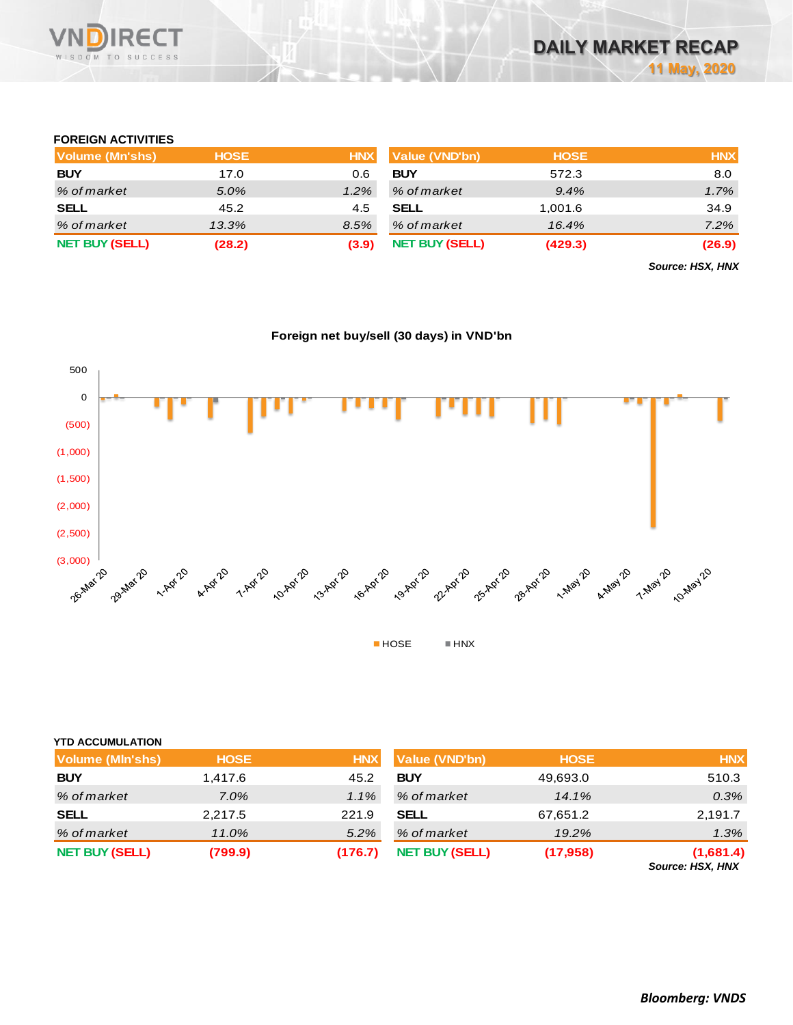

### **FOREIGN ACTIVITIES**

| Volume (Mn'shs)       | <b>HOSE</b> | <b>HNX</b> | Value (VND'bn)        | <b>HOSE</b> | <b>HNX</b> |
|-----------------------|-------------|------------|-----------------------|-------------|------------|
| <b>BUY</b>            | 17.0        | 0.6        | <b>BUY</b>            | 572.3       | 8.0        |
| % of market           | 5.0%        | $1.2\%$    | % of market           | 9.4%        | 1.7%       |
| <b>SELL</b>           | 45.2        | 4.5        | <b>SELL</b>           | 1,001.6     | 34.9       |
| % of market           | 13.3%       | 8.5%       | % of market           | 16.4%       | 7.2%       |
| <b>NET BUY (SELL)</b> | (28.2)      | (3.9)      | <b>NET BUY (SELL)</b> | (429.3)     | (26.9)     |

*Source: HSX, HNX*

## **Foreign net buy/sell (30 days) in VND'bn**



|  | <b>YTD ACCUMULATION</b> |
|--|-------------------------|

| <b>Volume (MIn'shs)</b> | <b>HOSE</b> | <b>HNX</b> | <b>Value (VND'bn)</b> | <b>HOSE</b> | <b>HNX</b>                                                   |
|-------------------------|-------------|------------|-----------------------|-------------|--------------------------------------------------------------|
| <b>BUY</b>              | 1,417.6     | 45.2       | <b>BUY</b>            | 49,693.0    | 510.3                                                        |
| % of market             | $7.0\%$     | $1.1\%$    | % of market           | 14.1%       | $0.3\%$                                                      |
| <b>SELL</b>             | 2,217.5     | 221.9      | <b>SELL</b>           | 67,651.2    | 2,191.7                                                      |
| % of market             | 11.0%       | $5.2\%$    | % of market           | 19.2%       | 1.3%                                                         |
| <b>NET BUY (SELL)</b>   | (799.9)     | (176.7)    | <b>NET BUY (SELL)</b> | (17, 958)   | (1,681.4)<br>$P_{\text{a}}$ , $\ldots$ , $\ldots$ , $\ldots$ |

*Source: HSX, HNX*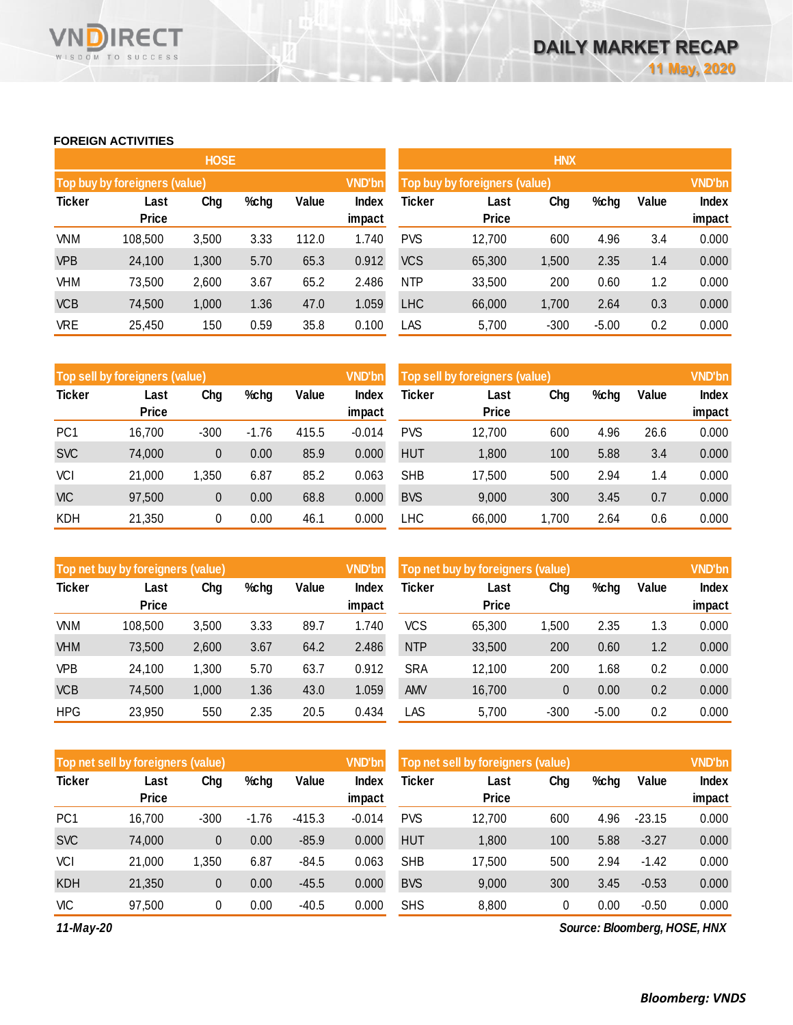### **FOREIGN ACTIVITIES**

WISDOM TO SUCCESS

**RECT** 

VNĪ

|               |                               | <b>HOSE</b> |      |       |                        |            |                               |        |         |       |                 |  |
|---------------|-------------------------------|-------------|------|-------|------------------------|------------|-------------------------------|--------|---------|-------|-----------------|--|
|               | Top buy by foreigners (value) |             |      |       | <b>VND'bn</b>          |            | Top buy by foreigners (value) |        |         |       |                 |  |
| <b>Ticker</b> | Last<br><b>Price</b>          | Chg         | %chg | Value | <b>Index</b><br>impact | Ticker     | Last<br>Price                 | Chg    | %chg    | Value | Index<br>impact |  |
| <b>VNM</b>    | 108,500                       | 3,500       | 3.33 | 112.0 | 1.740                  | <b>PVS</b> | 12,700                        | 600    | 4.96    | 3.4   | 0.000           |  |
| <b>VPB</b>    | 24,100                        | 1,300       | 5.70 | 65.3  | 0.912                  | <b>VCS</b> | 65,300                        | 1,500  | 2.35    | 1.4   | 0.000           |  |
| <b>VHM</b>    | 73,500                        | 2,600       | 3.67 | 65.2  | 2.486                  | <b>NTP</b> | 33,500                        | 200    | 0.60    | 1.2   | 0.000           |  |
| <b>VCB</b>    | 74,500                        | 1,000       | 1.36 | 47.0  | 1.059                  | <b>LHC</b> | 66,000                        | 1,700  | 2.64    | 0.3   | 0.000           |  |
| <b>VRE</b>    | 25,450                        | 150         | 0.59 | 35.8  | 0.100                  | LAS        | 5,700                         | $-300$ | $-5.00$ | 0.2   | 0.000           |  |

|                 | Top sell by foreigners (value) |        |         |       | <b>VND'bn</b> | Top sell by foreigners (value) |              |       |      |       | <b>VND'bn</b> |
|-----------------|--------------------------------|--------|---------|-------|---------------|--------------------------------|--------------|-------|------|-------|---------------|
| <b>Ticker</b>   | Last                           | Chg    | %chg    | Value | <b>Index</b>  | Ticker                         | Last         | Chg   | %chg | Value | Index         |
|                 | <b>Price</b>                   |        |         |       | impact        |                                | <b>Price</b> |       |      |       | impact        |
| PC <sub>1</sub> | 16,700                         | $-300$ | $-1.76$ | 415.5 | $-0.014$      | <b>PVS</b>                     | 12,700       | 600   | 4.96 | 26.6  | 0.000         |
| <b>SVC</b>      | 74,000                         | 0      | 0.00    | 85.9  | 0.000         | <b>HUT</b>                     | 1,800        | 100   | 5.88 | 3.4   | 0.000         |
| VCI             | 21,000                         | 1,350  | 6.87    | 85.2  | 0.063         | <b>SHB</b>                     | 17,500       | 500   | 2.94 | 1.4   | 0.000         |
| <b>VIC</b>      | 97,500                         | 0      | 0.00    | 68.8  | 0.000         | <b>BVS</b>                     | 9,000        | 300   | 3.45 | 0.7   | 0.000         |
| <b>KDH</b>      | 21,350                         | 0      | 0.00    | 46.1  | 0.000         | LHC                            | 66,000       | 1,700 | 2.64 | 0.6   | 0.000         |

|               | Top net buy by foreigners (value) |       |      |       |              | Top net buy by foreigners (value) |              |        |         |       | <b>VND'bn</b> |
|---------------|-----------------------------------|-------|------|-------|--------------|-----------------------------------|--------------|--------|---------|-------|---------------|
| <b>Ticker</b> | Last                              | Chg   | %chg | Value | <b>Index</b> | Ticker                            | Last         | Chg    | %chg    | Value | <b>Index</b>  |
|               | <b>Price</b>                      |       |      |       | impact       |                                   | <b>Price</b> |        |         |       | impact        |
| VNM           | 108,500                           | 3,500 | 3.33 | 89.7  | 1.740        | <b>VCS</b>                        | 65,300       | .500   | 2.35    | 1.3   | 0.000         |
| <b>VHM</b>    | 73,500                            | 2,600 | 3.67 | 64.2  | 2.486        | <b>NTP</b>                        | 33,500       | 200    | 0.60    | 1.2   | 0.000         |
| VPB           | 24,100                            | 1,300 | 5.70 | 63.7  | 0.912        | <b>SRA</b>                        | 12,100       | 200    | 1.68    | 0.2   | 0.000         |
| <b>VCB</b>    | 74,500                            | 1,000 | 1.36 | 43.0  | 1.059        | <b>AMV</b>                        | 16,700       | 0      | 0.00    | 0.2   | 0.000         |
| <b>HPG</b>    | 23,950                            | 550   | 2.35 | 20.5  | 0.434        | LAS                               | 5,700        | $-300$ | $-5.00$ | 0.2   | 0.000         |

|                 | Top net sell by foreigners (value) |        |         |          |                 | Top net sell by foreigners (value) |                      |     |      |          | <b>VND'bn</b>          |
|-----------------|------------------------------------|--------|---------|----------|-----------------|------------------------------------|----------------------|-----|------|----------|------------------------|
| <b>Ticker</b>   | Last<br><b>Price</b>               | Chg    | %chg    | Value    | Index<br>impact | Ticker                             | Last<br><b>Price</b> | Chg | %chg | Value    | <b>Index</b><br>impact |
| PC <sub>1</sub> | 16,700                             | $-300$ | $-1.76$ | $-415.3$ | $-0.014$        | <b>PVS</b>                         | 12,700               | 600 | 4.96 | $-23.15$ | 0.000                  |
| <b>SVC</b>      | 74,000                             | 0      | 0.00    | $-85.9$  | 0.000           | <b>HUT</b>                         | 1,800                | 100 | 5.88 | $-3.27$  | 0.000                  |
| VCI             | 21,000                             | 1.350  | 6.87    | $-84.5$  | 0.063           | <b>SHB</b>                         | 17,500               | 500 | 2.94 | $-1.42$  | 0.000                  |
| <b>KDH</b>      | 21,350                             | 0      | 0.00    | $-45.5$  | 0.000           | <b>BVS</b>                         | 9,000                | 300 | 3.45 | $-0.53$  | 0.000                  |
| VIC             | 97,500                             | 0      | 0.00    | $-40.5$  | 0.000           | <b>SHS</b>                         | 8,800                | 0   | 0.00 | $-0.50$  | 0.000                  |

*11-May-20*

*Source: Bloomberg, HOSE, HNX*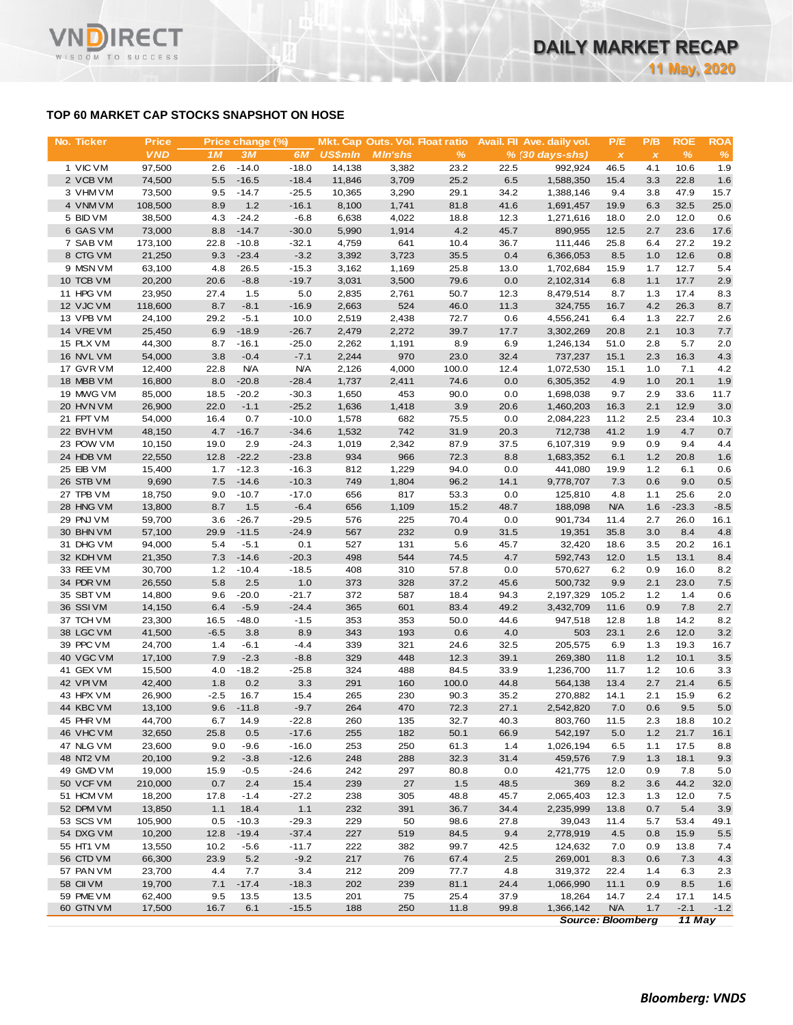# **TOP 60 MARKET CAP STOCKS SNAPSHOT ON HOSE**

**RECT** 

WISDOM TO SUCCESS

**VN** 

| No. Ticker             | <b>Price</b>     |                | Price change (%)      |                       |                | Mkt. Cap Outs. Vol. Float ratio |               |              | Avail. Fil Ave. daily vol. | P/E                       | P/B          | <b>ROE</b>    | <b>ROA</b>   |
|------------------------|------------------|----------------|-----------------------|-----------------------|----------------|---------------------------------|---------------|--------------|----------------------------|---------------------------|--------------|---------------|--------------|
|                        | <b>VND</b>       | 1 <sub>M</sub> | 3M                    | 6M                    | <b>US\$mln</b> | <b>MIn'shs</b>                  | $\%$          |              | $% (30 days-shs)$          | $\boldsymbol{\mathsf{x}}$ | $\pmb{\chi}$ | $\frac{9}{6}$ | %            |
| 1 VIC VM               | 97,500           | 2.6            | $-14.0$               | $-18.0$               | 14,138         | 3,382                           | 23.2          | 22.5         | 992,924                    | 46.5                      | 4.1          | 10.6          | 1.9          |
| 2 VCB VM               | 74,500           | 5.5            | $-16.5$               | $-18.4$               | 11,846         | 3,709                           | 25.2          | 6.5          | 1,588,350                  | 15.4                      | 3.3          | 22.8          | 1.6          |
| 3 VHM VM               | 73,500           | 9.5            | $-14.7$               | $-25.5$               | 10,365         | 3,290                           | 29.1          | 34.2         | 1,388,146                  | 9.4                       | 3.8          | 47.9          | 15.7         |
| 4 VNM VM               | 108,500          | 8.9            | $1.2$                 | $-16.1$               | 8,100          | 1,741                           | 81.8          | 41.6         | 1,691,457                  | 19.9                      | 6.3          | 32.5          | 25.0         |
| 5 BID VM               | 38,500           | 4.3            | $-24.2$               | $-6.8$                | 6,638          | 4,022                           | 18.8          | 12.3         | 1,271,616                  | 18.0                      | 2.0          | 12.0          | 0.6          |
| 6 GAS VM               | 73,000           | 8.8            | $-14.7$               | $-30.0$               | 5,990          | 1,914                           | 4.2           | 45.7         | 890,955                    | 12.5                      | 2.7          | 23.6          | 17.6         |
| 7 SAB VM               | 173,100          | 22.8           | $-10.8$               | $-32.1$               | 4,759          | 641                             | 10.4          | 36.7         | 111,446                    | 25.8                      | 6.4          | 27.2          | 19.2         |
| 8 CTG VM               | 21,250           | 9.3            | $-23.4$               | $-3.2$                | 3,392          | 3,723                           | 35.5          | 0.4          | 6,366,053                  | 8.5                       | 1.0          | 12.6          | 0.8          |
| 9 MSN VM               | 63,100           | 4.8            | 26.5                  | $-15.3$               | 3,162          | 1,169                           | 25.8          | 13.0         | 1,702,684                  | 15.9                      | 1.7          | 12.7          | 5.4          |
| 10 TCB VM              | 20,200           | 20.6           | $-8.8$                | $-19.7$               | 3,031          | 3,500                           | 79.6          | 0.0          | 2,102,314                  | 6.8                       | 1.1          | 17.7          | 2.9          |
| 11 HPG VM              | 23,950           | 27.4           | 1.5                   | 5.0                   | 2,835          | 2,761                           | 50.7          | 12.3         | 8,479,514                  | 8.7                       | 1.3          | 17.4          | 8.3          |
| 12 VJC VM              | 118,600          | 8.7            | $-8.1$                | $-16.9$               | 2,663          | 524                             | 46.0          | 11.3         | 324,755                    | 16.7                      | 4.2          | 26.3          | 8.7          |
| 13 VPB VM              | 24,100           | 29.2           | $-5.1$                | 10.0                  | 2,519          | 2,438                           | 72.7          | 0.6          | 4,556,241                  | 6.4                       | 1.3          | 22.7          | 2.6          |
| 14 VREVM               | 25,450           | 6.9            | $-18.9$               | $-26.7$               | 2,479          | 2,272                           | 39.7          | 17.7         | 3,302,269                  | 20.8                      | 2.1          | 10.3          | 7.7          |
| 15 PLX VM              | 44,300           | 8.7            | $-16.1$               | $-25.0$               | 2,262          | 1,191                           | 8.9           | 6.9          | 1,246,134                  | 51.0                      | 2.8          | 5.7           | 2.0          |
| 16 NVL VM              | 54,000           | 3.8            | $-0.4$                | $-7.1$                | 2,244          | 970                             | 23.0          | 32.4         | 737,237                    | 15.1                      | 2.3          | 16.3          | 4.3          |
| 17 GVR VM<br>18 MBB VM | 12,400<br>16,800 | 22.8<br>8.0    | <b>N/A</b><br>$-20.8$ | <b>N/A</b><br>$-28.4$ | 2,126<br>1,737 | 4,000<br>2,411                  | 100.0<br>74.6 | 12.4<br>0.0  | 1,072,530<br>6,305,352     | 15.1<br>4.9               | 1.0<br>1.0   | 7.1<br>20.1   | 4.2<br>1.9   |
| 19 MWG VM              | 85,000           | 18.5           | $-20.2$               | $-30.3$               | 1,650          | 453                             | 90.0          | 0.0          | 1,698,038                  | 9.7                       | 2.9          | 33.6          | 11.7         |
| 20 HVN VM              | 26,900           | 22.0           | $-1.1$                | $-25.2$               | 1,636          | 1,418                           | 3.9           | 20.6         | 1,460,203                  | 16.3                      | 2.1          | 12.9          | 3.0          |
| 21 FPT VM              | 54,000           | 16.4           | 0.7                   | $-10.0$               | 1,578          | 682                             | 75.5          | 0.0          | 2,084,223                  | 11.2                      | 2.5          | 23.4          | 10.3         |
| 22 BVHVM               | 48,150           | 4.7            | $-16.7$               | $-34.6$               | 1,532          | 742                             | 31.9          | 20.3         | 712,738                    | 41.2                      | 1.9          | 4.7           | 0.7          |
| 23 POW VM              | 10,150           | 19.0           | 2.9                   | $-24.3$               | 1,019          | 2,342                           | 87.9          | 37.5         | 6,107,319                  | 9.9                       | 0.9          | 9.4           | 4.4          |
| 24 HDB VM              | 22,550           | 12.8           | $-22.2$               | $-23.8$               | 934            | 966                             | 72.3          | 8.8          | 1,683,352                  | 6.1                       | 1.2          | 20.8          | 1.6          |
| 25 EIB VM              | 15,400           | 1.7            | $-12.3$               | $-16.3$               | 812            | 1,229                           | 94.0          | 0.0          | 441,080                    | 19.9                      | 1.2          | 6.1           | 0.6          |
| 26 STB VM              | 9,690            | 7.5            | $-14.6$               | $-10.3$               | 749            | 1,804                           | 96.2          | 14.1         | 9,778,707                  | 7.3                       | 0.6          | 9.0           | 0.5          |
| 27 TPB VM              | 18,750           | 9.0            | $-10.7$               | $-17.0$               | 656            | 817                             | 53.3          | 0.0          | 125,810                    | 4.8                       | 1.1          | 25.6          | 2.0          |
| 28 HNG VM              | 13,800           | 8.7            | 1.5                   | $-6.4$                | 656            | 1,109                           | 15.2          | 48.7         | 188,098                    | <b>N/A</b>                | 1.6          | $-23.3$       | $-8.5$       |
| 29 PNJ VM              | 59,700           | 3.6            | $-26.7$               | $-29.5$               | 576            | 225                             | 70.4          | 0.0          | 901,734                    | 11.4                      | 2.7          | 26.0          | 16.1         |
| 30 BHN VM              | 57,100           | 29.9           | $-11.5$               | $-24.9$               | 567            | 232                             | 0.9           | 31.5         | 19,351                     | 35.8                      | 3.0          | 8.4           | 4.8          |
| 31 DHG VM              | 94,000           | 5.4            | $-5.1$                | 0.1                   | 527            | 131                             | 5.6           | 45.7         | 32,420                     | 18.6                      | 3.5          | 20.2          | 16.1         |
| 32 KDH VM              | 21,350           | 7.3            | $-14.6$               | $-20.3$               | 498            | 544                             | 74.5          | 4.7          | 592,743                    | 12.0                      | 1.5          | 13.1          | 8.4          |
| 33 REE VM              | 30,700           | 1.2            | $-10.4$               | $-18.5$               | 408            | 310                             | 57.8          | 0.0          | 570,627                    | 6.2                       | 0.9          | 16.0          | 8.2          |
| 34 PDR VM              | 26,550           | 5.8            | 2.5                   | 1.0                   | 373            | 328                             | 37.2          | 45.6         | 500,732                    | 9.9                       | 2.1          | 23.0          | 7.5          |
| 35 SBT VM              | 14,800           | 9.6            | $-20.0$               | $-21.7$               | 372            | 587                             | 18.4          | 94.3         | 2,197,329                  | 105.2                     | 1.2          | 1.4           | 0.6          |
| 36 SSIVM               | 14,150           | 6.4            | $-5.9$                | $-24.4$               | 365            | 601                             | 83.4          | 49.2         | 3,432,709                  | 11.6                      | 0.9          | 7.8           | 2.7          |
| 37 TCH VM              | 23,300           | 16.5           | $-48.0$               | $-1.5$                | 353            | 353                             | 50.0          | 44.6         | 947,518                    | 12.8                      | 1.8          | 14.2          | 8.2          |
| 38 LGC VM              | 41,500           | $-6.5$         | 3.8                   | 8.9                   | 343            | 193                             | 0.6           | 4.0          | 503                        | 23.1                      | 2.6          | 12.0          | 3.2          |
| 39 PPC VM              | 24,700           | 1.4            | $-6.1$                | $-4.4$                | 339            | 321                             | 24.6          | 32.5         | 205,575                    | 6.9                       | 1.3          | 19.3          | 16.7         |
| 40 VGC VM              | 17,100           | 7.9            | $-2.3$                | $-8.8$                | 329            | 448                             | 12.3          | 39.1         | 269,380                    | 11.8                      | 1.2          | 10.1          | 3.5          |
| 41 GEX VM              | 15,500           | 4.0            | $-18.2$               | $-25.8$               | 324            | 488                             | 84.5          | 33.9         | 1,236,700                  | 11.7                      | 1.2          | 10.6          | 3.3          |
| 42 VPIVM               | 42,400           | 1.8            | 0.2                   | 3.3                   | 291            | 160                             | 100.0         | 44.8         | 564,138                    | 13.4                      | 2.7          | 21.4          | 6.5          |
| 43 HPX VM              | 26,900           | $-2.5$         | 16.7                  | 15.4                  | 265            | 230                             | 90.3          | 35.2         | 270,882                    | 14.1                      | 2.1          | 15.9          | 6.2          |
| 44 KBC VM<br>45 PHR VM | 13,100           | 9.6            | $-11.8$               | $-9.7$                | 264            | 470                             | 72.3          | 27.1         | 2,542,820                  | 7.0                       | 0.6          | 9.5           | 5.0          |
| 46 VHC VM              | 44,700<br>32,650 | 6.7<br>25.8    | 14.9<br>0.5           | $-22.8$<br>$-17.6$    | 260<br>255     | 135<br>182                      | 32.7<br>50.1  | 40.3<br>66.9 | 803,760<br>542,197         | 11.5<br>5.0               | 2.3<br>1.2   | 18.8<br>21.7  | 10.2<br>16.1 |
| 47 NLG VM              | 23,600           | 9.0            | $-9.6$                | $-16.0$               | 253            | 250                             | 61.3          | 1.4          | 1,026,194                  | 6.5                       | 1.1          | 17.5          | 8.8          |
| 48 NT2 VM              | 20,100           | 9.2            | $-3.8$                | $-12.6$               | 248            | 288                             | 32.3          | 31.4         | 459,576                    | 7.9                       | 1.3          | 18.1          | 9.3          |
| 49 GMD VM              | 19,000           | 15.9           | $-0.5$                | $-24.6$               | 242            | 297                             | 80.8          | 0.0          | 421,775                    | 12.0                      | 0.9          | 7.8           | 5.0          |
| 50 VCF VM              | 210,000          | 0.7            | 2.4                   | 15.4                  | 239            | 27                              | 1.5           | 48.5         | 369                        | 8.2                       | 3.6          | 44.2          | 32.0         |
| 51 HCM VM              | 18,200           | 17.8           | $-1.4$                | $-27.2$               | 238            | 305                             | 48.8          | 45.7         | 2,065,403                  | 12.3                      | 1.3          | 12.0          | 7.5          |
| 52 DPM VM              | 13,850           | 1.1            | 18.4                  | 1.1                   | 232            | 391                             | 36.7          | 34.4         | 2,235,999                  | 13.8                      | 0.7          | 5.4           | 3.9          |
| 53 SCS VM              | 105,900          | 0.5            | $-10.3$               | $-29.3$               | 229            | 50                              | 98.6          | 27.8         | 39,043                     | 11.4                      | 5.7          | 53.4          | 49.1         |
| 54 DXG VM              | 10,200           | 12.8           | $-19.4$               | $-37.4$               | 227            | 519                             | 84.5          | 9.4          | 2,778,919                  | 4.5                       | 0.8          | 15.9          | 5.5          |
| 55 HT1 VM              | 13,550           | 10.2           | $-5.6$                | $-11.7$               | 222            | 382                             | 99.7          | 42.5         | 124,632                    | 7.0                       | 0.9          | 13.8          | 7.4          |
| 56 CTD VM              | 66,300           | 23.9           | 5.2                   | $-9.2$                | 217            | 76                              | 67.4          | 2.5          | 269,001                    | 8.3                       | 0.6          | 7.3           | 4.3          |
| 57 PAN VM              | 23,700           | 4.4            | 7.7                   | 3.4                   | 212            | 209                             | 77.7          | 4.8          | 319,372                    | 22.4                      | 1.4          | 6.3           | 2.3          |
| 58 CII VM              | 19,700           | 7.1            | $-17.4$               | $-18.3$               | 202            | 239                             | 81.1          | 24.4         | 1,066,990                  | 11.1                      | 0.9          | 8.5           | 1.6          |
| 59 PME VM              | 62,400           | 9.5            | 13.5                  | 13.5                  | 201            | 75                              | 25.4          | 37.9         | 18,264                     | 14.7                      | 2.4          | 17.1          | 14.5         |
| 60 GTN VM              | 17,500           | 16.7           | 6.1                   | $-15.5$               | 188            | 250                             | 11.8          | 99.8         | 1,366,142                  | <b>N/A</b>                | 1.7          | $-2.1$        | $-1.2$       |